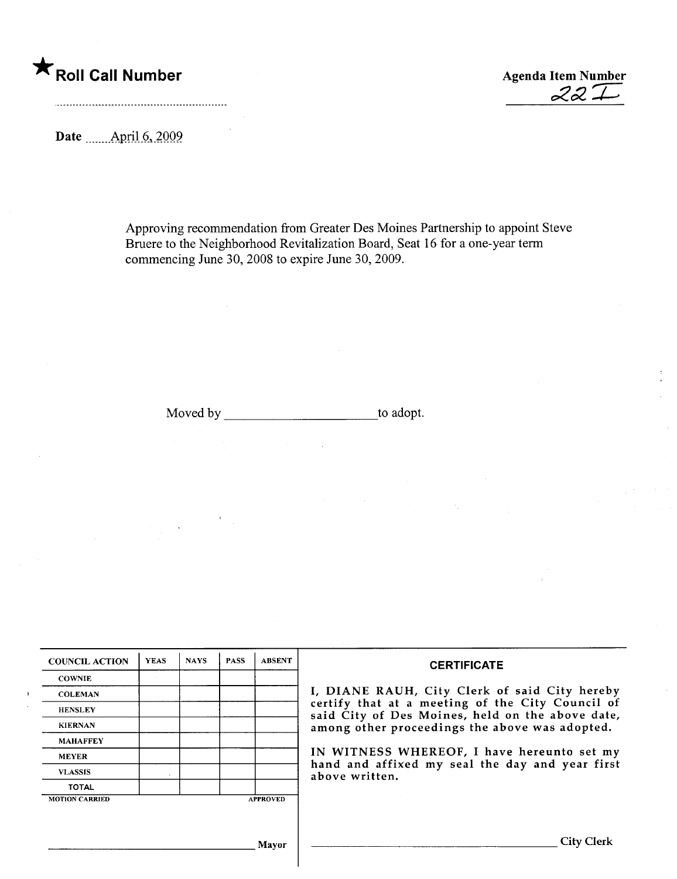\* Roll Call Number Agenda Item Number

 $22I$ 

Date \_\_\_\_\_\_ April 6, 2009.

Approving recommendation from Greater Des Moines Partnership to appoint Steve Bruere to the Neighborhood Revitalization Board, Seat 16 for a one-year term commencing June 30, 2008 to expire June 30, 2009.

Moved by to adopt.

 $\bar{z}$ 

 $\mathcal{A}_1$ 

| <b>COUNCIL ACTION</b> | <b>YEAS</b> | <b>NAYS</b> | <b>PASS</b> | <b>ABSENT</b>   | <b>CERTIFICATE</b>                                                                                                                                                                                      |  |  |
|-----------------------|-------------|-------------|-------------|-----------------|---------------------------------------------------------------------------------------------------------------------------------------------------------------------------------------------------------|--|--|
| <b>COWNIE</b>         |             |             |             |                 | I, DIANE RAUH, City Clerk of said City hereby<br>certify that at a meeting of the City Council of<br>said City of Des Moines, held on the above date,<br>among other proceedings the above was adopted. |  |  |
| <b>COLEMAN</b>        |             |             |             |                 |                                                                                                                                                                                                         |  |  |
| <b>HENSLEY</b>        |             |             |             |                 |                                                                                                                                                                                                         |  |  |
| <b>KIERNAN</b>        |             |             |             |                 |                                                                                                                                                                                                         |  |  |
| <b>MAHAFFEY</b>       |             |             |             |                 |                                                                                                                                                                                                         |  |  |
| <b>MEYER</b>          |             |             |             |                 | IN WITNESS WHEREOF, I have hereunto set my<br>hand and affixed my seal the day and year first<br>above written.                                                                                         |  |  |
| <b>VLASSIS</b>        |             |             |             |                 |                                                                                                                                                                                                         |  |  |
| <b>TOTAL</b>          |             |             |             |                 |                                                                                                                                                                                                         |  |  |
| <b>MOTION CARRIED</b> |             |             |             | <b>APPROVED</b> |                                                                                                                                                                                                         |  |  |
|                       |             |             |             |                 |                                                                                                                                                                                                         |  |  |
| Mavor                 |             |             |             |                 | City Clerk                                                                                                                                                                                              |  |  |